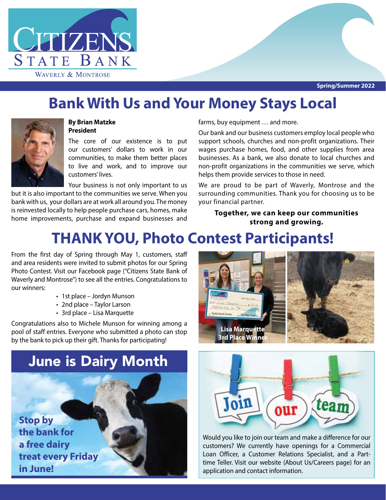

## **Bank With Us and Your Money Stays Local**



#### **By Brian Matzke President**

The core of our existence is to put our customers' dollars to work in our communities, to make them better places to live and work, and to improve our customers' lives.

Your business is not only important to us but it is also important to the communities we serve. When you bank with us, your dollars are at work all around you. The money is reinvested locally to help people purchase cars, homes, make home improvements, purchase and expand businesses and farms, buy equipment … and more.

Our bank and our business customers employ local people who support schools, churches and non-profit organizations. Their wages purchase homes, food, and other supplies from area businesses. As a bank, we also donate to local churches and non-profit organizations in the communities we serve, which helps them provide services to those in need.

We are proud to be part of Waverly, Montrose and the surrounding communities. Thank you for choosing us to be your financial partner.

#### **Together, we can keep our communities strong and growing.**

# **THANK YOU, Photo Contest Participants!**

From the first day of Spring through May 1, customers, staff and area residents were invited to submit photos for our Spring Photo Contest. Visit our Facebook page ("Citizens State Bank of Waverly and Montrose") to see all the entries. Congratulations to our winners:

- 1st place Jordyn Munson
- 2nd place Taylor Larson
- 3rd place Lisa Marquette

Congratulations also to Michele Munson for winning among a pool of staff entries. Everyone who submitted a photo can stop by the bank to pick up their gift. Thanks for participating!







Would you like to join our team and make a difference for our customers? We currently have openings for a Commercial Loan Officer, a Customer Relations Specialist, and a Parttime Teller. Visit our website (About Us/Careers page) for an application and contact information.